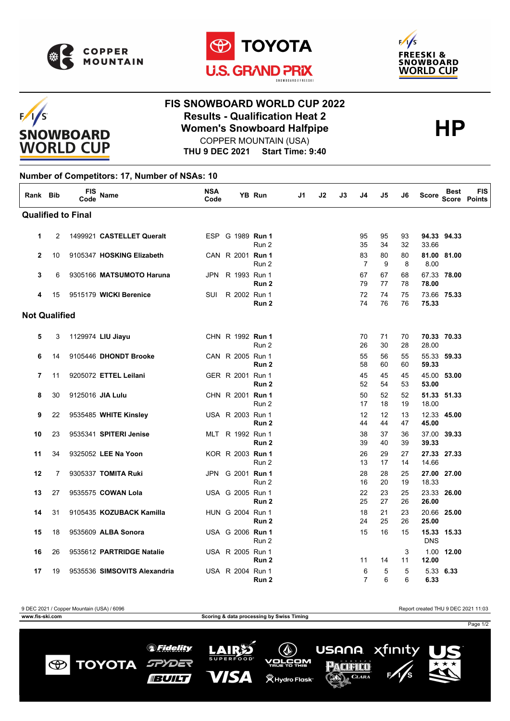

 $F/1/S$ 

**SNOWBOARD WORLD CUP** 





## **FIS SNOWBOARD WORLD CUP 2022 Results - Qualification Heat 2**<br>
Women's Snowboard Halfpipe<br>
COPPER MOUNTAIN (USA) COPPER MOUNTAIN (USA)

**THU 9 DEC 2021 Start Time: 9:40**

## **Number of Competitors: 17, Number of NSAs: 10**

| Rank Bib             |    | <b>FIS</b><br>Code        | <b>Name</b>                  | <b>NSA</b><br>Code |                  | <b>YB Run</b>    | J1 | J2 | J3 | J4                   | J5       | J6       | <b>Score</b> | <b>Best</b><br><b>Score</b> | <b>FIS</b><br>Points |
|----------------------|----|---------------------------|------------------------------|--------------------|------------------|------------------|----|----|----|----------------------|----------|----------|--------------|-----------------------------|----------------------|
|                      |    | <b>Qualified to Final</b> |                              |                    |                  |                  |    |    |    |                      |          |          |              |                             |                      |
| 1                    | 2  |                           | 1499921 CASTELLET Queralt    |                    | ESP G 1989 Run 1 | Run 2            |    |    |    | 95<br>35             | 95<br>34 | 93<br>32 | 33.66        | 94.33 94.33                 |                      |
| $\overline{2}$       | 10 |                           | 9105347 HOSKING Elizabeth    |                    | CAN R 2001 Run 1 | Run 2            |    |    |    | 83<br>$\overline{7}$ | 80<br>9  | 80<br>8  | 8.00         | 81.00 81.00                 |                      |
| 3                    | 6  |                           | 9305166 MATSUMOTO Haruna     | JPN                | R 1993 Run 1     | Run 2            |    |    |    | 67<br>79             | 67<br>77 | 68<br>78 | 78.00        | 67.33 78.00                 |                      |
| 4                    | 15 |                           | 9515179 WICKI Berenice       | SUI                | R 2002 Run 1     | Run 2            |    |    |    | 72<br>74             | 74<br>76 | 75<br>76 | 75.33        | 73.66 75.33                 |                      |
| <b>Not Qualified</b> |    |                           |                              |                    |                  |                  |    |    |    |                      |          |          |              |                             |                      |
| 5                    | 3  |                           | 1129974 LIU Jiayu            |                    | CHN R 1992 Run 1 | Run 2            |    |    |    | 70<br>26             | 71<br>30 | 70<br>28 | 28.00        | 70.33 70.33                 |                      |
| 6                    | 14 |                           | 9105446 DHONDT Brooke        |                    | CAN R 2005 Run 1 | Run 2            |    |    |    | 55<br>58             | 56<br>60 | 55<br>60 | 59.33        | 55.33 59.33                 |                      |
| 7                    | 11 |                           | 9205072 ETTEL Leilani        |                    | GER R 2001 Run 1 | Run <sub>2</sub> |    |    |    | 45<br>52             | 45<br>54 | 45<br>53 | 53.00        | 45.00 53.00                 |                      |
| 8                    | 30 |                           | 9125016 JIA Lulu             |                    | CHN R 2001 Run 1 | Run 2            |    |    |    | 50<br>17             | 52<br>18 | 52<br>19 | 18.00        | 51.33 51.33                 |                      |
| 9                    | 22 |                           | 9535485 WHITE Kinsley        |                    | USA R 2003 Run 1 | Run <sub>2</sub> |    |    |    | 12<br>44             | 12<br>44 | 13<br>47 | 45.00        | 12.33 45.00                 |                      |
| 10                   | 23 |                           | 9535341 SPITERI Jenise       |                    | MLT R 1992 Run 1 | Run <sub>2</sub> |    |    |    | 38<br>39             | 37<br>40 | 36<br>39 | 39.33        | 37.00 39.33                 |                      |
| 11                   | 34 |                           | 9325052 LEE Na Yoon          |                    | KOR R 2003 Run 1 | Run 2            |    |    |    | 26<br>13             | 29<br>17 | 27<br>14 | 14.66        | 27.33 27.33                 |                      |
| 12                   | 7  |                           | 9305337 TOMITA Ruki          | <b>JPN</b>         | G 2001 Run 1     | Run 2            |    |    |    | 28<br>16             | 28<br>20 | 25<br>19 | 18.33        | 27.00 27.00                 |                      |
| 13                   | 27 |                           | 9535575 COWAN Lola           |                    | USA G 2005 Run 1 | Run 2            |    |    |    | 22<br>25             | 23<br>27 | 25<br>26 | 26.00        | 23.33 26.00                 |                      |
| 14                   | 31 |                           | 9105435 KOZUBACK Kamilla     |                    | HUN G 2004 Run 1 | Run <sub>2</sub> |    |    |    | 18<br>24             | 21<br>25 | 23<br>26 | 25.00        | 20.66 25.00                 |                      |
| 15                   | 18 |                           | 9535609 ALBA Sonora          |                    | USA G 2006 Run 1 | Run 2            |    |    |    | 15                   | 16       | 15       | <b>DNS</b>   | 15.33 15.33                 |                      |
| 16                   | 26 |                           | 9535612 PARTRIDGE Natalie    |                    | USA R 2005 Run 1 | Run 2            |    |    |    | 11                   | 14       | 3<br>11  | 12.00        | 1.00 12.00                  |                      |
| 17                   | 19 |                           | 9535536 SIMSOVITS Alexandria |                    | USA R 2004 Run 1 | Run 2            |    |    |    | 6<br>$\overline{7}$  | 5<br>6   | 5<br>6   | 6.33         | 5.33 6.33                   |                      |